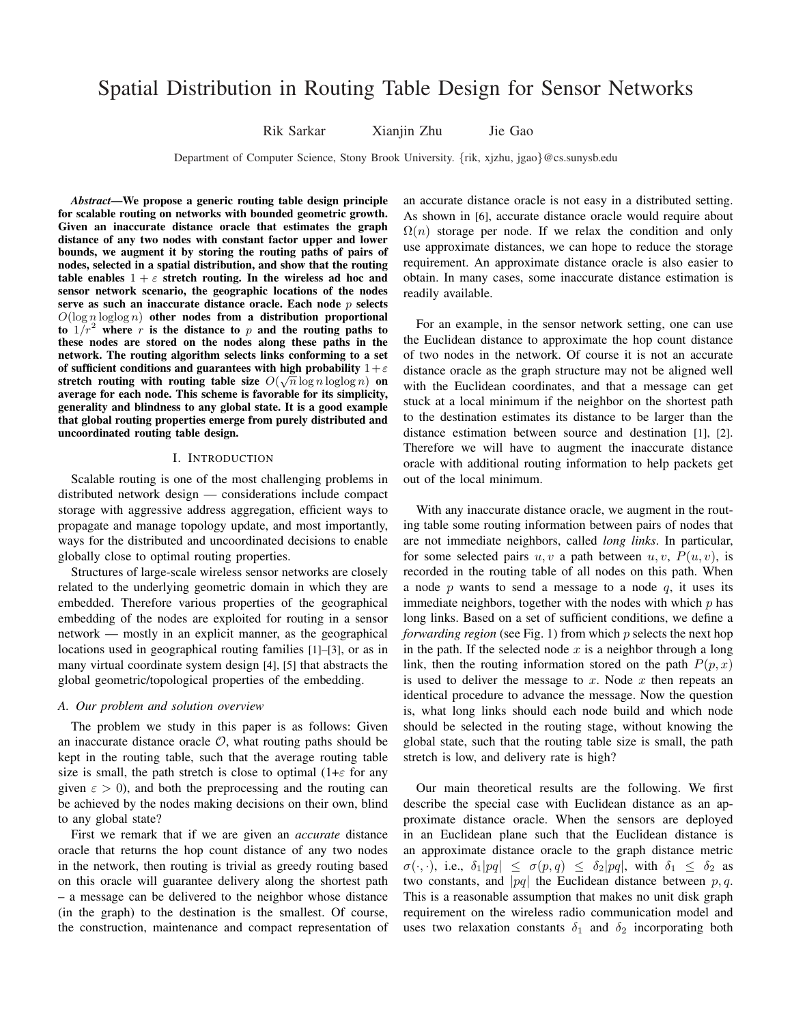# Spatial Distribution in Routing Table Design for Sensor Networks

Rik Sarkar Xianjin Zhu Jie Gao

Department of Computer Science, Stony Brook University. {rik, xjzhu, jgao}@cs.sunysb.edu

*Abstract*—We propose a generic routing table design principle for scalable routing on networks with bounded geometric growth. Given an inaccurate distance oracle that estimates the graph distance of any two nodes with constant factor upper and lower bounds, we augment it by storing the routing paths of pairs of nodes, selected in a spatial distribution, and show that the routing table enables  $1 + \varepsilon$  stretch routing. In the wireless ad hoc and sensor network scenario, the geographic locations of the nodes serve as such an inaccurate distance oracle. Each node  $p$  selects  $O(\log n \log \log n)$  other nodes from a distribution proportional to  $1/r^2$  where r is the distance to p and the routing paths to these nodes are stored on the nodes along these paths in the network. The routing algorithm selects links conforming to a set of sufficient conditions and guarantees with high probability  $1+\varepsilon$ stretch routing with routing table size  $O(\sqrt{n}\log n \log\log n)$  on average for each node. This scheme is favorable for its simplicity, generality and blindness to any global state. It is a good example that global routing properties emerge from purely distributed and uncoordinated routing table design.

#### I. INTRODUCTION

Scalable routing is one of the most challenging problems in distributed network design — considerations include compact storage with aggressive address aggregation, efficient ways to propagate and manage topology update, and most importantly, ways for the distributed and uncoordinated decisions to enable globally close to optimal routing properties.

Structures of large-scale wireless sensor networks are closely related to the underlying geometric domain in which they are embedded. Therefore various properties of the geographical embedding of the nodes are exploited for routing in a sensor network — mostly in an explicit manner, as the geographical locations used in geographical routing families [1]–[3], or as in many virtual coordinate system design [4], [5] that abstracts the global geometric/topological properties of the embedding.

#### *A. Our problem and solution overview*

The problem we study in this paper is as follows: Given an inaccurate distance oracle  $\mathcal{O}$ , what routing paths should be kept in the routing table, such that the average routing table size is small, the path stretch is close to optimal  $(1+\epsilon)$  for any given  $\epsilon > 0$ ), and both the preprocessing and the routing can be achieved by the nodes making decisions on their own, blind to any global state?

First we remark that if we are given an *accurate* distance oracle that returns the hop count distance of any two nodes in the network, then routing is trivial as greedy routing based on this oracle will guarantee delivery along the shortest path – a message can be delivered to the neighbor whose distance (in the graph) to the destination is the smallest. Of course, the construction, maintenance and compact representation of

an accurate distance oracle is not easy in a distributed setting. As shown in [6], accurate distance oracle would require about  $\Omega(n)$  storage per node. If we relax the condition and only use approximate distances, we can hope to reduce the storage requirement. An approximate distance oracle is also easier to obtain. In many cases, some inaccurate distance estimation is readily available.

For an example, in the sensor network setting, one can use the Euclidean distance to approximate the hop count distance of two nodes in the network. Of course it is not an accurate distance oracle as the graph structure may not be aligned well with the Euclidean coordinates, and that a message can get stuck at a local minimum if the neighbor on the shortest path to the destination estimates its distance to be larger than the distance estimation between source and destination [1], [2]. Therefore we will have to augment the inaccurate distance oracle with additional routing information to help packets get out of the local minimum.

With any inaccurate distance oracle, we augment in the routing table some routing information between pairs of nodes that are not immediate neighbors, called *long links*. In particular, for some selected pairs  $u, v$  a path between  $u, v, P(u, v)$ , is recorded in the routing table of all nodes on this path. When a node p wants to send a message to a node  $q$ , it uses its immediate neighbors, together with the nodes with which  $p$  has long links. Based on a set of sufficient conditions, we define a *forwarding region* (see Fig. 1) from which p selects the next hop in the path. If the selected node  $x$  is a neighbor through a long link, then the routing information stored on the path  $P(p, x)$ is used to deliver the message to x. Node x then repeats an identical procedure to advance the message. Now the question is, what long links should each node build and which node should be selected in the routing stage, without knowing the global state, such that the routing table size is small, the path stretch is low, and delivery rate is high?

Our main theoretical results are the following. We first describe the special case with Euclidean distance as an approximate distance oracle. When the sensors are deployed in an Euclidean plane such that the Euclidean distance is an approximate distance oracle to the graph distance metric  $\sigma(\cdot, \cdot)$ , i.e.,  $\delta_1|pq| \leq \sigma(p,q) \leq \delta_2|pq|$ , with  $\delta_1 \leq \delta_2$  as two constants, and |pq| the Euclidean distance between  $p, q$ . This is a reasonable assumption that makes no unit disk graph requirement on the wireless radio communication model and uses two relaxation constants  $\delta_1$  and  $\delta_2$  incorporating both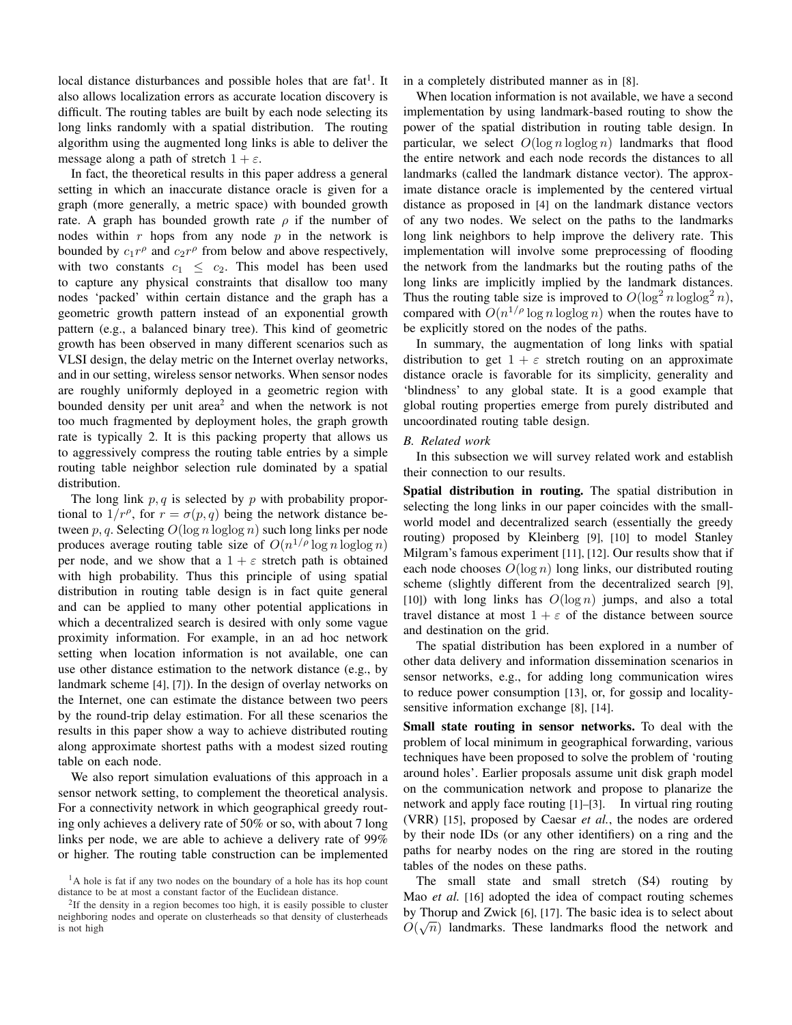local distance disturbances and possible holes that are  $fat<sup>1</sup>$ . It also allows localization errors as accurate location discovery is difficult. The routing tables are built by each node selecting its long links randomly with a spatial distribution. The routing algorithm using the augmented long links is able to deliver the message along a path of stretch  $1 + \varepsilon$ .

In fact, the theoretical results in this paper address a general setting in which an inaccurate distance oracle is given for a graph (more generally, a metric space) with bounded growth rate. A graph has bounded growth rate  $\rho$  if the number of nodes within r hops from any node  $p$  in the network is bounded by  $c_1 r^{\rho}$  and  $c_2 r^{\rho}$  from below and above respectively, with two constants  $c_1 \leq c_2$ . This model has been used to capture any physical constraints that disallow too many nodes 'packed' within certain distance and the graph has a geometric growth pattern instead of an exponential growth pattern (e.g., a balanced binary tree). This kind of geometric growth has been observed in many different scenarios such as VLSI design, the delay metric on the Internet overlay networks, and in our setting, wireless sensor networks. When sensor nodes are roughly uniformly deployed in a geometric region with bounded density per unit area<sup>2</sup> and when the network is not too much fragmented by deployment holes, the graph growth rate is typically 2. It is this packing property that allows us to aggressively compress the routing table entries by a simple routing table neighbor selection rule dominated by a spatial distribution.

The long link  $p, q$  is selected by p with probability proportional to  $1/r^{\rho}$ , for  $r = \sigma(p,q)$  being the network distance between p, q. Selecting  $O(\log n \log \log n)$  such long links per node produces average routing table size of  $O(n^{1/\rho} \log n \log \log n)$ per node, and we show that a  $1 + \varepsilon$  stretch path is obtained with high probability. Thus this principle of using spatial distribution in routing table design is in fact quite general and can be applied to many other potential applications in which a decentralized search is desired with only some vague proximity information. For example, in an ad hoc network setting when location information is not available, one can use other distance estimation to the network distance (e.g., by landmark scheme [4], [7]). In the design of overlay networks on the Internet, one can estimate the distance between two peers by the round-trip delay estimation. For all these scenarios the results in this paper show a way to achieve distributed routing along approximate shortest paths with a modest sized routing table on each node.

We also report simulation evaluations of this approach in a sensor network setting, to complement the theoretical analysis. For a connectivity network in which geographical greedy routing only achieves a delivery rate of 50% or so, with about 7 long links per node, we are able to achieve a delivery rate of 99% or higher. The routing table construction can be implemented in a completely distributed manner as in [8].

When location information is not available, we have a second implementation by using landmark-based routing to show the power of the spatial distribution in routing table design. In particular, we select  $O(\log n \log \log n)$  landmarks that flood the entire network and each node records the distances to all landmarks (called the landmark distance vector). The approximate distance oracle is implemented by the centered virtual distance as proposed in [4] on the landmark distance vectors of any two nodes. We select on the paths to the landmarks long link neighbors to help improve the delivery rate. This implementation will involve some preprocessing of flooding the network from the landmarks but the routing paths of the long links are implicitly implied by the landmark distances. Thus the routing table size is improved to  $O(\log^2 n \log \log^2 n)$ , compared with  $O(n^{1/\rho} \log n \log \log n)$  when the routes have to be explicitly stored on the nodes of the paths.

In summary, the augmentation of long links with spatial distribution to get  $1 + \varepsilon$  stretch routing on an approximate distance oracle is favorable for its simplicity, generality and 'blindness' to any global state. It is a good example that global routing properties emerge from purely distributed and uncoordinated routing table design.

## *B. Related work*

In this subsection we will survey related work and establish their connection to our results.

Spatial distribution in routing. The spatial distribution in selecting the long links in our paper coincides with the smallworld model and decentralized search (essentially the greedy routing) proposed by Kleinberg [9], [10] to model Stanley Milgram's famous experiment [11], [12]. Our results show that if each node chooses  $O(\log n)$  long links, our distributed routing scheme (slightly different from the decentralized search [9], [10]) with long links has  $O(\log n)$  jumps, and also a total travel distance at most  $1 + \varepsilon$  of the distance between source and destination on the grid.

The spatial distribution has been explored in a number of other data delivery and information dissemination scenarios in sensor networks, e.g., for adding long communication wires to reduce power consumption [13], or, for gossip and localitysensitive information exchange [8], [14].

Small state routing in sensor networks. To deal with the problem of local minimum in geographical forwarding, various techniques have been proposed to solve the problem of 'routing around holes'. Earlier proposals assume unit disk graph model on the communication network and propose to planarize the network and apply face routing [1]–[3]. In virtual ring routing (VRR) [15], proposed by Caesar *et al.*, the nodes are ordered by their node IDs (or any other identifiers) on a ring and the paths for nearby nodes on the ring are stored in the routing tables of the nodes on these paths.

The small state and small stretch (S4) routing by Mao *et al.* [16] adopted the idea of compact routing schemes by Thorup and Zwick [6], [17]. The basic idea is to select about  $\sim$  $O(\sqrt{n})$  landmarks. These landmarks flood the network and

 $<sup>1</sup>A$  hole is fat if any two nodes on the boundary of a hole has its hop count</sup> distance to be at most a constant factor of the Euclidean distance.

<sup>&</sup>lt;sup>2</sup>If the density in a region becomes too high, it is easily possible to cluster neighboring nodes and operate on clusterheads so that density of clusterheads is not high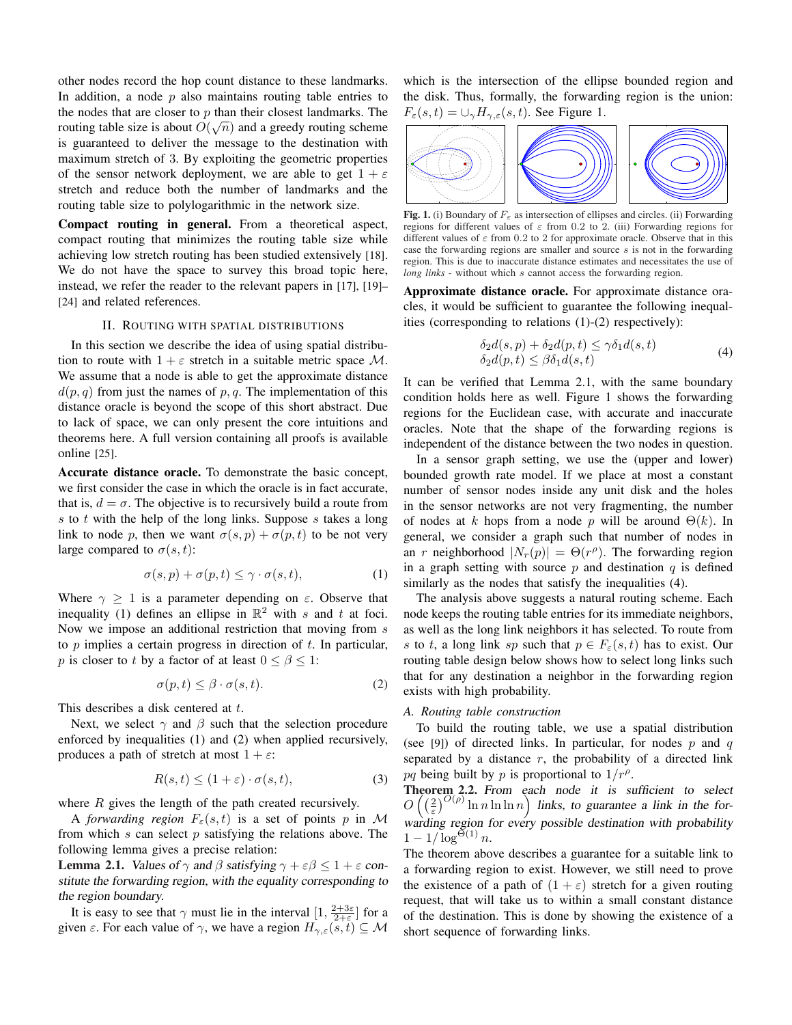other nodes record the hop count distance to these landmarks. In addition, a node  $p$  also maintains routing table entries to the nodes that are closer to p than their closest landmarks. The routing table size is about  $O(\sqrt{n})$  and a greedy routing scheme is guaranteed to deliver the message to the destination with maximum stretch of 3. By exploiting the geometric properties of the sensor network deployment, we are able to get  $1 + \varepsilon$ stretch and reduce both the number of landmarks and the routing table size to polylogarithmic in the network size.

Compact routing in general. From a theoretical aspect, compact routing that minimizes the routing table size while achieving low stretch routing has been studied extensively [18]. We do not have the space to survey this broad topic here, instead, we refer the reader to the relevant papers in [17], [19]– [24] and related references.

#### II. ROUTING WITH SPATIAL DISTRIBUTIONS

In this section we describe the idea of using spatial distribution to route with  $1 + \varepsilon$  stretch in a suitable metric space M. We assume that a node is able to get the approximate distance  $d(p, q)$  from just the names of p, q. The implementation of this distance oracle is beyond the scope of this short abstract. Due to lack of space, we can only present the core intuitions and theorems here. A full version containing all proofs is available online [25].

Accurate distance oracle. To demonstrate the basic concept, we first consider the case in which the oracle is in fact accurate, that is,  $d = \sigma$ . The objective is to recursively build a route from  $s$  to  $t$  with the help of the long links. Suppose  $s$  takes a long link to node p, then we want  $\sigma(s, p) + \sigma(p, t)$  to be not very large compared to  $\sigma(s,t)$ :

$$
\sigma(s, p) + \sigma(p, t) \le \gamma \cdot \sigma(s, t), \tag{1}
$$

Where  $\gamma \geq 1$  is a parameter depending on  $\varepsilon$ . Observe that inequality (1) defines an ellipse in  $\mathbb{R}^2$  with s and t at foci. Now we impose an additional restriction that moving from s to  $p$  implies a certain progress in direction of  $t$ . In particular, p is closer to t by a factor of at least  $0 \le \beta \le 1$ :

$$
\sigma(p, t) \le \beta \cdot \sigma(s, t). \tag{2}
$$

This describes a disk centered at t.

Next, we select  $\gamma$  and  $\beta$  such that the selection procedure enforced by inequalities (1) and (2) when applied recursively, produces a path of stretch at most  $1 + \varepsilon$ :

$$
R(s,t) \le (1+\varepsilon) \cdot \sigma(s,t),\tag{3}
$$

where  $R$  gives the length of the path created recursively.

A *forwarding region*  $F_{\varepsilon}(s,t)$  is a set of points p in M from which  $s$  can select  $p$  satisfying the relations above. The following lemma gives a precise relation:

**Lemma 2.1.** Values of  $\gamma$  and  $\beta$  satisfying  $\gamma + \epsilon \beta \leq 1 + \epsilon$  constitute the forwarding region, with the equality corresponding to the region boundary.

It is easy to see that  $\gamma$  must lie in the interval  $[1, \frac{2+3\varepsilon}{2+\varepsilon}]$  for a given  $\varepsilon$ . For each value of  $\gamma$ , we have a region  $H_{\gamma,\varepsilon}(s,t) \subseteq M$ 

which is the intersection of the ellipse bounded region and the disk. Thus, formally, the forwarding region is the union:  $F_{\varepsilon}(s,t) = \cup_{\gamma} H_{\gamma,\varepsilon}(s,t)$ . See Figure 1.



Fig. 1. (i) Boundary of  $F_{\varepsilon}$  as intersection of ellipses and circles. (ii) Forwarding regions for different values of  $\varepsilon$  from 0.2 to 2. (iii) Forwarding regions for different values of  $\varepsilon$  from 0.2 to 2 for approximate oracle. Observe that in this case the forwarding regions are smaller and source  $s$  is not in the forwarding region. This is due to inaccurate distance estimates and necessitates the use of *long links* - without which s cannot access the forwarding region.

Approximate distance oracle. For approximate distance oracles, it would be sufficient to guarantee the following inequalities (corresponding to relations (1)-(2) respectively):

$$
\delta_2 d(s, p) + \delta_2 d(p, t) \le \gamma \delta_1 d(s, t)
$$
  
\n
$$
\delta_2 d(p, t) \le \beta \delta_1 d(s, t)
$$
\n(4)

It can be verified that Lemma 2.1, with the same boundary condition holds here as well. Figure 1 shows the forwarding regions for the Euclidean case, with accurate and inaccurate oracles. Note that the shape of the forwarding regions is independent of the distance between the two nodes in question.

In a sensor graph setting, we use the (upper and lower) bounded growth rate model. If we place at most a constant number of sensor nodes inside any unit disk and the holes in the sensor networks are not very fragmenting, the number of nodes at k hops from a node p will be around  $\Theta(k)$ . In general, we consider a graph such that number of nodes in an r neighborhood  $|N_r(p)| = \Theta(r^{\rho})$ . The forwarding region in a graph setting with source  $p$  and destination  $q$  is defined similarly as the nodes that satisfy the inequalities (4).

The analysis above suggests a natural routing scheme. Each node keeps the routing table entries for its immediate neighbors, as well as the long link neighbors it has selected. To route from s to t, a long link sp such that  $p \in F_{\varepsilon}(s,t)$  has to exist. Our routing table design below shows how to select long links such that for any destination a neighbor in the forwarding region exists with high probability.

## *A. Routing table construction*

To build the routing table, we use a spatial distribution (see [9]) of directed links. In particular, for nodes  $p$  and  $q$ separated by a distance  $r$ , the probability of a directed link pq being built by p is proportional to  $1/r^{\rho}$ .

Theorem 2.2. From each node it is sufficient to select  $\overline{O}$ **neor**<br>(( 2)  $\lim_{\rho O(\rho)}$  ln n ln ln n ęa links, to guarantee a link in the forwarding region for every possible destination with probability  $1 - 1/\log^{\Theta(1)} n$ .

The theorem above describes a guarantee for a suitable link to a forwarding region to exist. However, we still need to prove the existence of a path of  $(1 + \varepsilon)$  stretch for a given routing request, that will take us to within a small constant distance of the destination. This is done by showing the existence of a short sequence of forwarding links.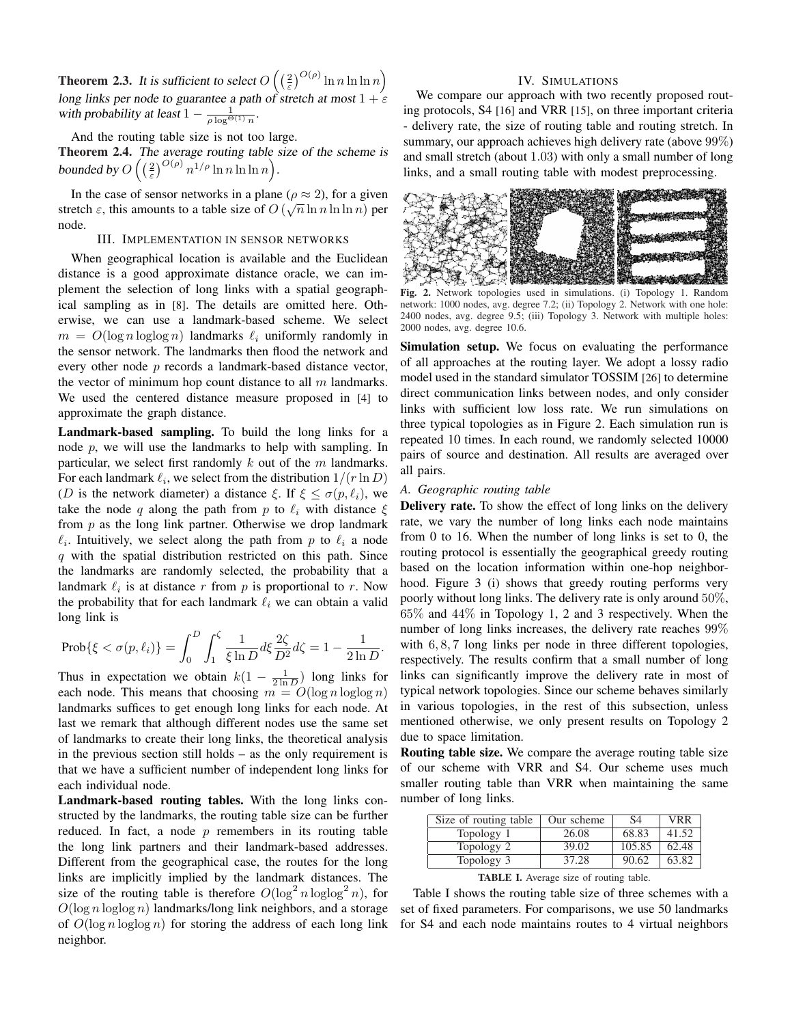Theorem 2.3. It is sufficient to select  $O$  $\Big(\Big(\frac{2}{\varepsilon}\Big)$  $\int^{O(\rho)} \ln n \ln \ln n$ long links per node to guarantee a path of stretch at most  $1 + \epsilon$ with probability at least  $1 - \frac{1}{\rho \log^{\Theta(1)} n}$ 

´

And the routing table size is not too large.

**Theorem 2.4.** The average routing table size of the scheme is bounded by O  $\frac{7h}{\left(\frac{2}{\varepsilon}\right)}$  $\int^{O(\rho)} n^{1/\rho} \ln n \ln \ln n$ .

In the case of sensor networks in a plane ( $\rho \approx 2$ ), for a given stretch  $\varepsilon$ , this amounts to a table size of  $O(\sqrt{n} \ln n \ln \ln n)$  per node.

## III. IMPLEMENTATION IN SENSOR NETWORKS

When geographical location is available and the Euclidean distance is a good approximate distance oracle, we can implement the selection of long links with a spatial geographical sampling as in [8]. The details are omitted here. Otherwise, we can use a landmark-based scheme. We select  $m = O(\log n \log \log n)$  landmarks  $\ell_i$  uniformly randomly in the sensor network. The landmarks then flood the network and every other node p records a landmark-based distance vector, the vector of minimum hop count distance to all  $m$  landmarks. We used the centered distance measure proposed in [4] to approximate the graph distance.

Landmark-based sampling. To build the long links for a node  $p$ , we will use the landmarks to help with sampling. In particular, we select first randomly  $k$  out of the  $m$  landmarks. For each landmark  $\ell_i$ , we select from the distribution  $1/(r \ln D)$ (D is the network diameter) a distance  $\xi$ . If  $\xi \leq \sigma(p, \ell_i)$ , we take the node q along the path from p to  $\ell_i$  with distance  $\xi$ from  $p$  as the long link partner. Otherwise we drop landmark  $\ell_i$ . Intuitively, we select along the path from p to  $\ell_i$  a node  $q$  with the spatial distribution restricted on this path. Since the landmarks are randomly selected, the probability that a landmark  $\ell_i$  is at distance r from p is proportional to r. Now the probability that for each landmark  $\ell_i$  we can obtain a valid long link is

$$
\text{Prob}\{\xi < \sigma(p,\ell_i)\} = \int_0^D \int_1^\zeta \frac{1}{\xi \ln D} d\xi \frac{2\zeta}{D^2} d\zeta = 1 - \frac{1}{2\ln D}.
$$

Thus in expectation we obtain  $k(1 - \frac{1}{2 \ln D})$  long links for each node. This means that choosing  $m = O(\log n \log \log n)$ landmarks suffices to get enough long links for each node. At last we remark that although different nodes use the same set of landmarks to create their long links, the theoretical analysis in the previous section still holds – as the only requirement is that we have a sufficient number of independent long links for each individual node.

Landmark-based routing tables. With the long links constructed by the landmarks, the routing table size can be further reduced. In fact, a node  $p$  remembers in its routing table the long link partners and their landmark-based addresses. Different from the geographical case, the routes for the long links are implicitly implied by the landmark distances. The size of the routing table is therefore  $O(\log^2 n \log \log^2 n)$ , for  $O(\log n \log \log n)$  landmarks/long link neighbors, and a storage of  $O(\log n \log \log n)$  for storing the address of each long link neighbor.

#### IV. SIMULATIONS

We compare our approach with two recently proposed routing protocols, S4 [16] and VRR [15], on three important criteria - delivery rate, the size of routing table and routing stretch. In summary, our approach achieves high delivery rate (above 99%) and small stretch (about 1.03) with only a small number of long links, and a small routing table with modest preprocessing.



Fig. 2. Network topologies used in simulations. (i) Topology 1. Random network: 1000 nodes, avg. degree 7.2; (ii) Topology 2. Network with one hole: 2400 nodes, avg. degree 9.5; (iii) Topology 3. Network with multiple holes: 2000 nodes, avg. degree 10.6.

Simulation setup. We focus on evaluating the performance of all approaches at the routing layer. We adopt a lossy radio model used in the standard simulator TOSSIM [26] to determine direct communication links between nodes, and only consider links with sufficient low loss rate. We run simulations on three typical topologies as in Figure 2. Each simulation run is repeated 10 times. In each round, we randomly selected 10000 pairs of source and destination. All results are averaged over all pairs.

#### *A. Geographic routing table*

Delivery rate. To show the effect of long links on the delivery rate, we vary the number of long links each node maintains from 0 to 16. When the number of long links is set to 0, the routing protocol is essentially the geographical greedy routing based on the location information within one-hop neighborhood. Figure 3 (i) shows that greedy routing performs very poorly without long links. The delivery rate is only around 50%, 65% and 44% in Topology 1, 2 and 3 respectively. When the number of long links increases, the delivery rate reaches 99% with  $6, 8, 7$  long links per node in three different topologies, respectively. The results confirm that a small number of long links can significantly improve the delivery rate in most of typical network topologies. Since our scheme behaves similarly in various topologies, in the rest of this subsection, unless mentioned otherwise, we only present results on Topology 2 due to space limitation.

Routing table size. We compare the average routing table size of our scheme with VRR and S4. Our scheme uses much smaller routing table than VRR when maintaining the same number of long links.

| Size of routing table | Our scheme | S4     | VRR.  |
|-----------------------|------------|--------|-------|
| Topology 1            | 26.08      | 68.83  | 41.52 |
| Topology 2            | 39.02      | 105.85 | 62.48 |
| Topology 3            | 37.28      | 90.62  | 63.82 |
|                       |            |        |       |

TABLE I. Average size of routing table.

Table I shows the routing table size of three schemes with a set of fixed parameters. For comparisons, we use 50 landmarks for S4 and each node maintains routes to 4 virtual neighbors